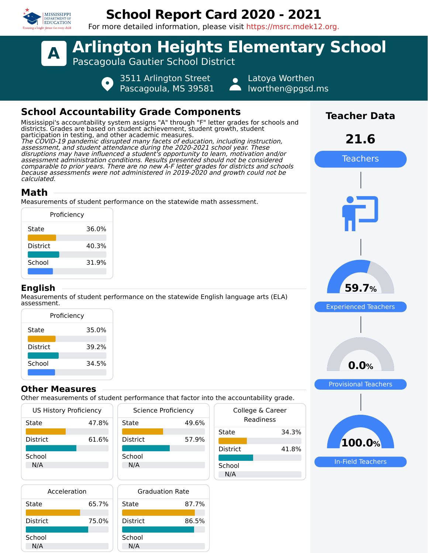

## **School Report Card 2020 - 2021**

For more detailed information, please visit https://msrc.mdek12.org.



Pascagoula, MS 39581

Latoya Worthen lworthen@pgsd.ms

## **School Accountability Grade Components**

Mississippi's accountability system assigns "A" through "F" letter grades for schools and districts. Grades are based on student achievement, student growth, student participation in testing, and other academic measures. The COVID-19 pandemic disrupted many facets of education, including instruction, assessment, and student attendance during the 2020-2021 school year. These disruptions may have influenced a student's opportunity to learn, motivation and/or assessment administration conditions. Results presented should not be considered comparable to prior years. There are no new A-F letter grades for districts and schools because assessments were not administered in 2019-2020 and growth could not be calculated.

## **Math**

Measurements of student performance on the statewide math assessment.

|                 | Proficiency |
|-----------------|-------------|
| State           | 36.0%       |
| <b>District</b> | 40.3%       |
| School          | 31.9%       |
|                 |             |

### **English**

Measurements of student performance on the statewide English language arts (ELA) assessment.

| Proficiency     |       |  |  |  |  |  |
|-----------------|-------|--|--|--|--|--|
| State           | 35.0% |  |  |  |  |  |
| <b>District</b> | 39.2% |  |  |  |  |  |
| School          | 34.5% |  |  |  |  |  |

### **Other Measures**

Other measurements of student performance that factor into the accountability grade.

| <b>US History Proficiency</b> |       | <b>Science Proficiency</b> | Colleg<br>Re |                 |
|-------------------------------|-------|----------------------------|--------------|-----------------|
| State                         | 47.8% |                            |              |                 |
|                               |       |                            |              | State           |
| <b>District</b>               | 61.6% | <b>District</b>            | 57.9%        |                 |
|                               |       |                            |              | <b>District</b> |
| School                        |       | School                     |              |                 |
| N/A                           |       | N/A                        |              | School          |
|                               |       |                            |              | N/A             |
| .                             |       | _ _ _ _ _                  |              |                 |

| Acceleration    |       |   |
|-----------------|-------|---|
| State           | 65.7% | Š |
| <b>District</b> | 75.0% | г |
|                 |       |   |
| School          |       | ٢ |
| N/A             |       |   |



| the accountability grade.     |       |  |  |  |  |
|-------------------------------|-------|--|--|--|--|
| College & Career<br>Readiness |       |  |  |  |  |
| State                         | 34.3% |  |  |  |  |
| District                      | 41.8% |  |  |  |  |
| School<br>N/A                 |       |  |  |  |  |



**Teacher Data**